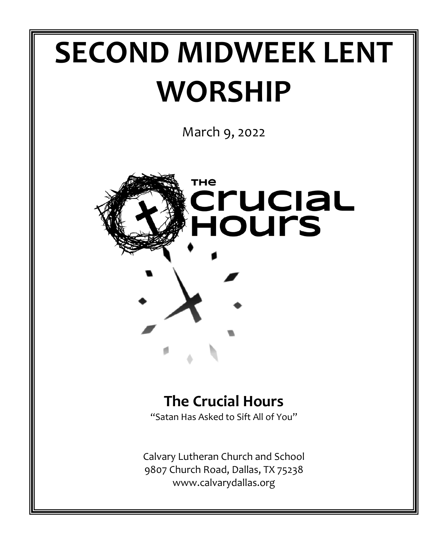# **SECOND MIDWEEK LENT WORSHIP**

March 9, 2022



# **The Crucial Hours**

"Satan Has Asked to Sift All of You"

Calvary Lutheran Church and School 9807 Church Road, Dallas, TX 75238 www.calvarydallas.org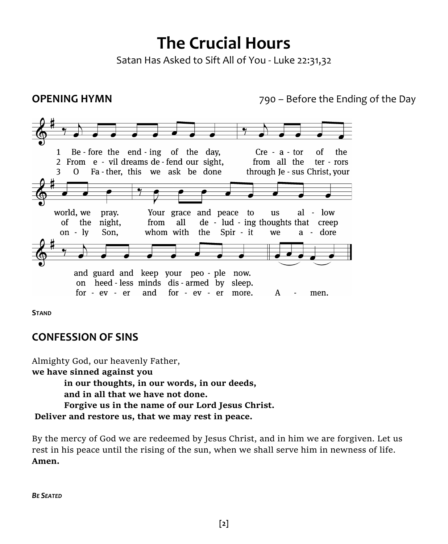**The Crucial Hours**

Satan Has Asked to Sift All of You - Luke 22:31,32

**OPENING HYMN** 790 – Before the Ending of the Day



**STAND**

# **CONFESSION OF SINS**

Almighty God, our heavenly Father, **we have sinned against you in our thoughts, in our words, in our deeds, and in all that we have not done. Forgive us in the name of our Lord Jesus Christ. Deliver and restore us, that we may rest in peace.** 

By the mercy of God we are redeemed by Jesus Christ, and in him we are forgiven. Let us rest in his peace until the rising of the sun, when we shall serve him in newness of life. **Amen.**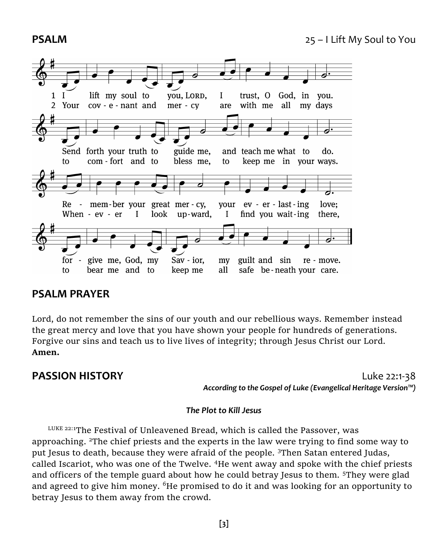

# **PSALM PRAYER**

Lord, do not remember the sins of our youth and our rebellious ways. Remember instead the great mercy and love that you have shown your people for hundreds of generations. Forgive our sins and teach us to live lives of integrity; through Jesus Christ our Lord. **Amen.**

**PASSION HISTORY** Luke 22:1-38 *According to the Gospel of Luke (Evangelical Heritage Version™)*

### *The Plot to Kill Jesus*

LUKE 22:1The Festival of Unleavened Bread, which is called the Passover, was approaching. <sup>2</sup>The chief priests and the experts in the law were trying to find some way to put Jesus to death, because they were afraid of the people. <sup>3</sup>Then Satan entered Judas, called Iscariot, who was one of the Twelve. <sup>4</sup>He went away and spoke with the chief priests and officers of the temple guard about how he could betray Jesus to them. <sup>5</sup>They were glad and agreed to give him money. <sup>6</sup>He promised to do it and was looking for an opportunity to betray Jesus to them away from the crowd.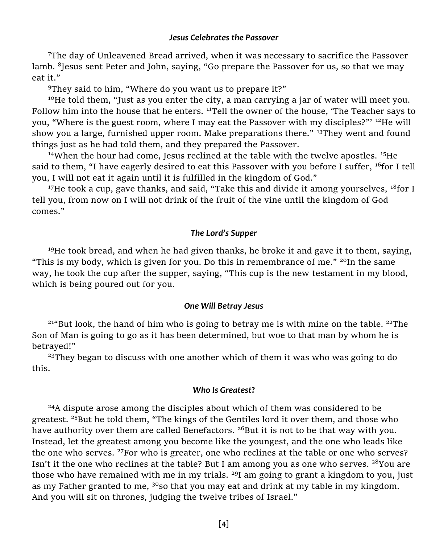### *Jesus Celebrates the Passover*

<sup>7</sup>The day of Unleavened Bread arrived, when it was necessary to sacrifice the Passover lamb.  ${}^{8}$ Jesus sent Peter and John, saying, "Go prepare the Passover for us, so that we may eat it."

<sup>9</sup>They said to him, "Where do you want us to prepare it?"

 $10$ He told them, "Just as you enter the city, a man carrying a jar of water will meet you. Follow him into the house that he enters. <sup>11</sup>Tell the owner of the house, 'The Teacher says to you, "Where is the guest room, where I may eat the Passover with my disciples?" <sup>12</sup>He will show you a large, furnished upper room. Make preparations there." <sup>13</sup>They went and found things just as he had told them, and they prepared the Passover.

<sup>14</sup>When the hour had come, Jesus reclined at the table with the twelve apostles.  $15He$ said to them, "I have eagerly desired to eat this Passover with you before I suffer, <sup>16</sup>for I tell you, I will not eat it again until it is fulfilled in the kingdom of God."

<sup>17</sup>He took a cup, gave thanks, and said, "Take this and divide it among yourselves,  $^{18}$ for I tell you, from now on I will not drink of the fruit of the vine until the kingdom of God comes."

### *The Lord's Supper*

<sup>19</sup>He took bread, and when he had given thanks, he broke it and gave it to them, saying, "This is my body, which is given for you. Do this in remembrance of me."  $^{20}$ In the same way, he took the cup after the supper, saying, "This cup is the new testament in my blood, which is being poured out for you.

### *One Will Betray Jesus*

 $21^{\alpha}$ But look, the hand of him who is going to betray me is with mine on the table.  $22\text{The}$ Son of Man is going to go as it has been determined, but woe to that man by whom he is betrayed!"

 $23$ They began to discuss with one another which of them it was who was going to do this.

### *Who Is Greatest***?**

 $24A$  dispute arose among the disciples about which of them was considered to be greatest. <sup>25</sup>But he told them, "The kings of the Gentiles lord it over them, and those who have authority over them are called Benefactors.  $^{26}$ But it is not to be that way with you. Instead, let the greatest among you become like the youngest, and the one who leads like the one who serves.  $27$  For who is greater, one who reclines at the table or one who serves? Isn't it the one who reclines at the table? But I am among you as one who serves. <sup>28</sup>You are those who have remained with me in my trials.  $^{29}$ I am going to grant a kingdom to you, just as my Father granted to me,  $3^{\circ}$ so that you may eat and drink at my table in my kingdom. And you will sit on thrones, judging the twelve tribes of Israel."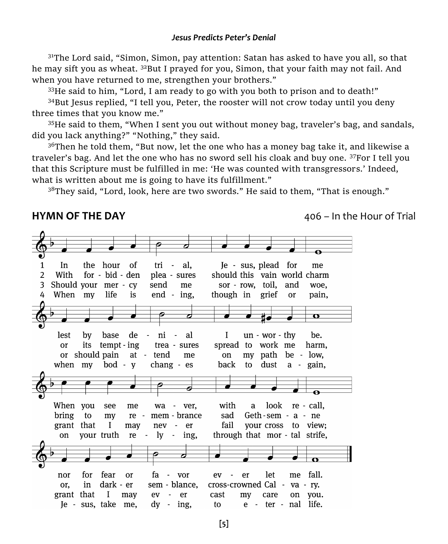### *Jesus Predicts Peter's Denial*

<sup>31</sup>The Lord said, "Simon, Simon, pay attention: Satan has asked to have you all, so that he may sift you as wheat. <sup>32</sup>But I prayed for you, Simon, that your faith may not fail. And when you have returned to me, strengthen your brothers."

 $33$  He said to him, "Lord, I am ready to go with you both to prison and to death!"

 $34$ But Jesus replied, "I tell you, Peter, the rooster will not crow today until you deny three times that you know me."

<sup>35</sup>He said to them, "When I sent you out without money bag, traveler's bag, and sandals, did you lack anything?" "Nothing," they said.

 $36$ Then he told them, "But now, let the one who has a money bag take it, and likewise a traveler's bag. And let the one who has no sword sell his cloak and buy one. <sup>37</sup>For I tell you that this Scripture must be fulfilled in me: 'He was counted with transgressors.' Indeed, what is written about me is going to have its fulfillment."

<sup>38</sup>Thev said, "Lord, look, here are two swords." He said to them, "That is enough."

**HYMN OF THE DAY 1988 CONSUMING THE UP ASSESSED ASSESSED ASSESSED ASSESSED ASSESSED ASSESSED AT A LOCAL THE HOUR OF Trial** 

 $\overline{\mathbf{o}}$ the hour tri Je - sus, plead for  $\mathbf{1}$ In of  $\sim$   $\sim$ al. me  $for - bid - den$  $\overline{2}$ With plea - sures should this vain world charm Should your mer - cv 3 send me sor - row, toil, and woe. When my life though in 4 is  $end - ing$ . grief **or** pain,  $\mathbf{o}$ lest by base de ni al  $un - wor - thy$ be.  $\mathbf{r}$ L  $\alpha r$ its tempt - ing trea - sures spread to work me harm. or should pain at  $\sim$ tend me on my path be - low, when my bod - v chang - es back to dust  $a - gain$ , re - call, When vou see me wa ver, with  $a$ look bring to my re mem - brance sad Geth-sem - a - ne grant that I may nev - er fail your cross to view; on your truth re  $\frac{1}{\text{y}}$  - ing, through that mor - tal strife, for fear fa - vor let me fall. nor or  $ev$ er dark - er in sem - blance, cross-crowned Cal  $va - ry.$ or. grant that  $\bf{I}$ may ev er cast care you.  $\sim 100$ my on e - ter - nal life. Je - sus, take me,  $dy - ing$ , to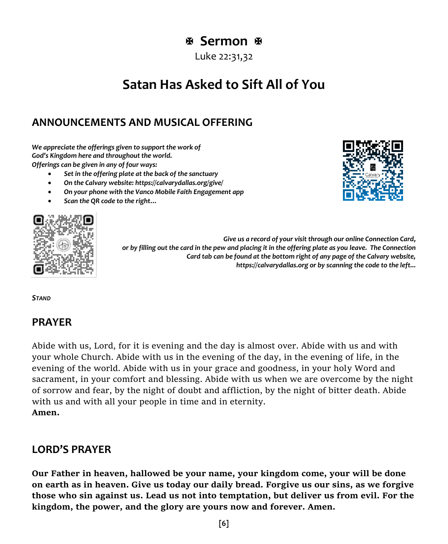# **Sermon**

Luke 22:31,32

# **Satan Has Asked to Sift All of You**

# **ANNOUNCEMENTS AND MUSICAL OFFERING**

*We appreciate the offerings given to support the work of God's Kingdom here and throughout the world. Offerings can be given in any of four ways:*

- *Set in the offering plate at the back of the sanctuary*
- *On the Calvary website: https://calvarydallas.org/give/*
- *On your phone with the Vanco Mobile Faith Engagement app*
- *Scan the QR code to the right…*

*Give us a record of your visit through our online Connection Card, or by filling out the card in the pew and placing it in the offering plate as you leave. The Connection Card tab can be found at the bottom right of any page of the Calvary website, https://calvarydallas.org or by scanning the code to the left...*

*STAND*

# **PRAYER**

Abide with us, Lord, for it is evening and the day is almost over. Abide with us and with your whole Church. Abide with us in the evening of the day, in the evening of life, in the evening of the world. Abide with us in your grace and goodness, in your holy Word and sacrament, in your comfort and blessing. Abide with us when we are overcome by the night of sorrow and fear, by the night of doubt and affliction, by the night of bitter death. Abide with us and with all your people in time and in eternity. **Amen.** 

# **LORD'S PRAYER**

**Our Father in heaven, hallowed be your name, your kingdom come, your will be done on earth as in heaven. Give us today our daily bread. Forgive us our sins, as we forgive those who sin against us. Lead us not into temptation, but deliver us from evil. For the kingdom, the power, and the glory are yours now and forever. Amen.**



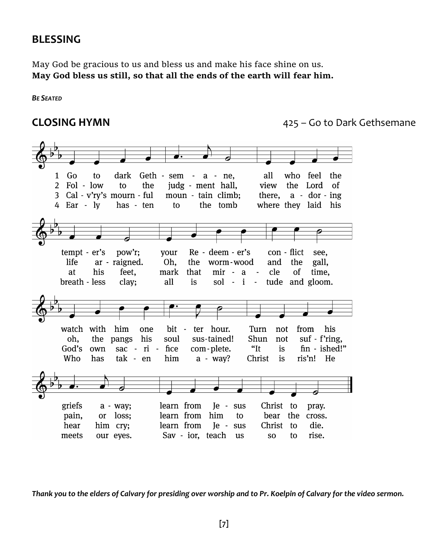## **BLESSING**

May God be gracious to us and bless us and make his face shine on us. **May God bless us still, so that all the ends of the earth will fear him.**

*BE SEATED*

**CLOSING HYMN** 425 – Go to Dark Gethsemane



*Thank you to the elders of Calvary for presiding over worship and to Pr. Koelpin of Calvary for the video sermon.*